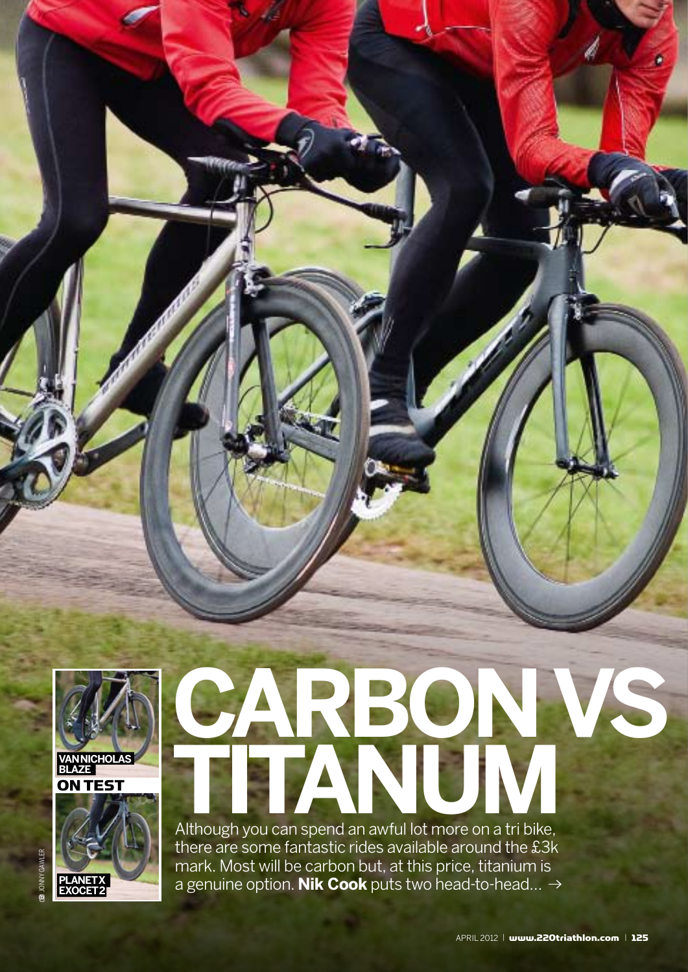

# **CARBON VS TITANUM**

Although you can spend an awful lot more on a tri bike, there are some fantastic rides available around the £3k mark. Most will be carbon but, at this price, titanium is a genuine option. **Nik Cook** puts two head-to-head…

**EXOCET 2**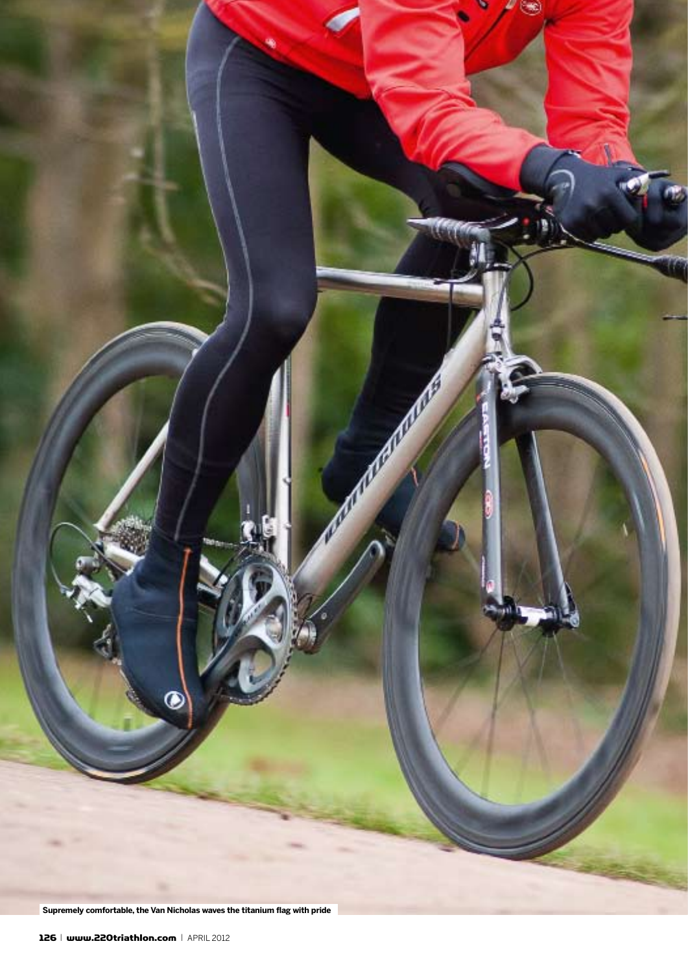

Supremely comfortable, the Van Nicholas waves the titanium flag with pride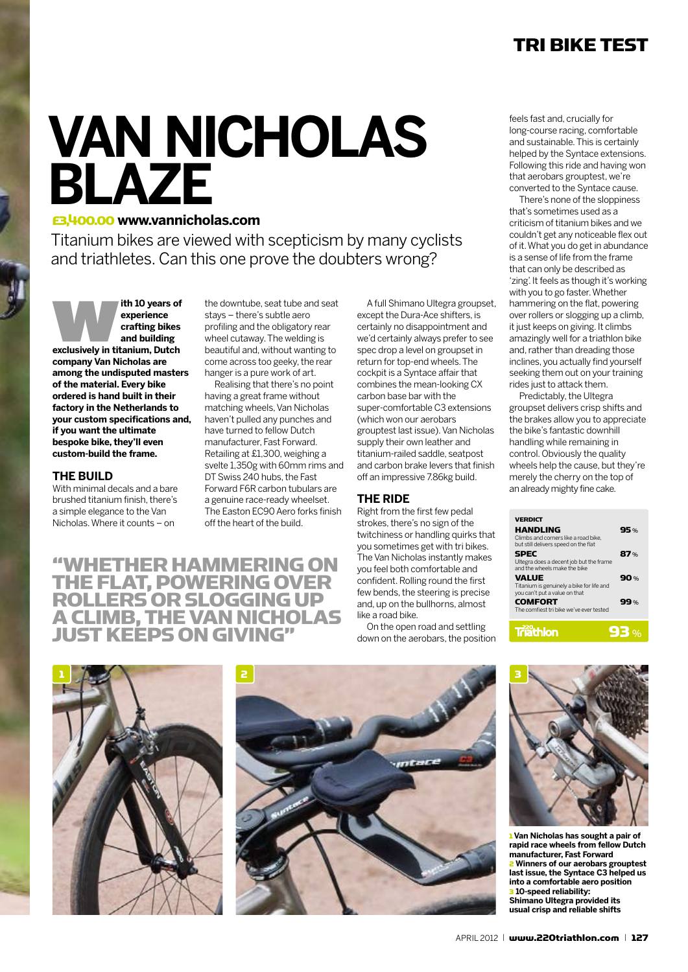#### tri bike test

## **VAN NICHOLAS BLAZE**

#### £3,400.00 **www.vannicholas.com**

Titanium bikes are viewed with scepticism by many cyclists and triathletes. Can this one prove the doubters wrong?

**experience**<br> **experience**<br> **exclusively in titanium, Dutch** <br> **exclusively in titanium, Dutch experience crafting bikes and building company Van Nicholas are among the undisputed masters of the material. Every bike ordered is hand built in their factory in the Netherlands to your custom specifications and, if you want the ultimate bespoke bike, they'll even custom-build the frame.** 

#### **THE BUILD**

With minimal decals and a bare brushed titanium finish, there's a simple elegance to the Van Nicholas. Where it counts – on

"whether hammering on the flat, powering over rollersor slogging up **A CLIMB, THE VAN NICHOLA JUST KEEPS ON GIVING"** 

the downtube, seat tube and seat stays – there's subtle aero profiling and the obligatory rear wheel cutaway. The welding is beautiful and, without wanting to come across too geeky, the rear hanger is a pure work of art.

Realising that there's no point having a great frame without matching wheels, Van Nicholas haven't pulled any punches and have turned to fellow Dutch manufacturer, Fast Forward. Retailing at £1,300, weighing a svelte 1,350g with 60mm rims and DT Swiss 240 hubs, the Fast Forward F6R carbon tubulars are a genuine race-ready wheelset. The Easton EC90 Aero forks finish off the heart of the build.

A full Shimano Ultegra groupset, except the Dura-Ace shifters, is certainly no disappointment and we'd certainly always prefer to see spec drop a level on groupset in return for top-end wheels. The cockpit is a Syntace affair that combines the mean-looking CX carbon base bar with the super-comfortable C3 extensions (which won our aerobars grouptest last issue). Van Nicholas supply their own leather and titanium-railed saddle, seatpost and carbon brake levers that finish off an impressive 7.86kg build.

#### **The Ride**

Right from the first few pedal strokes, there's no sign of the twitchiness or handling quirks that you sometimes get with tri bikes. The Van Nicholas instantly makes you feel both comfortable and confident. Rolling round the first few bends, the steering is precise and, up on the bullhorns, almost like a road bike.

On the open road and settling down on the aerobars, the position feels fast and, crucially for long-course racing, comfortable and sustainable. This is certainly helped by the Syntace extensions. Following this ride and having won that aerobars grouptest, we're converted to the Syntace cause.

There's none of the sloppiness that's sometimes used as a criticism of titanium bikes and we couldn't get any noticeable flex out of it. What you do get in abundance is a sense of life from the frame that can only be described as 'zing'. It feels as though it's working with you to go faster. Whether hammering on the flat, powering over rollers or slogging up a climb, it just keeps on giving. It climbs amazingly well for a triathlon bike and, rather than dreading those inclines, you actually find yourself seeking them out on your training rides just to attack them.

Predictably, the Ultegra groupset delivers crisp shifts and the brakes allow you to appreciate the bike's fantastic downhill handling while remaining in control. Obviously the quality wheels help the cause, but they're merely the cherry on the top of an already mighty fine cake.

| <b>VERDICT</b>                                                                                  |      |
|-------------------------------------------------------------------------------------------------|------|
| <b>HANDLING</b><br>Climbs and corners like a road bike.<br>but still delivers speed on the flat | 95%  |
| <b>SPEC</b><br>Ultegra does a decent job but the frame<br>and the wheels make the bike          | 87%  |
| <b>VALUE</b><br>Titanium is genuinely a bike for life and<br>you can't put a value on that      | 90%  |
| <b>COMFORT</b><br>The comfiest tri bike we've ever tested                                       | 99%  |
| <b>Triathion</b>                                                                                | 93 % |







1 **Van Nicholas has sought a pair of rapid race wheels from fellow Dutch manufacturer, Fast Forward** 2 **Winners of our aerobars grouptest last issue, the Syntace C3 helped us into a comfortable aero position** 3 **10-speed reliability: Shimano Ultegra provided its usual crisp and reliable shifts**